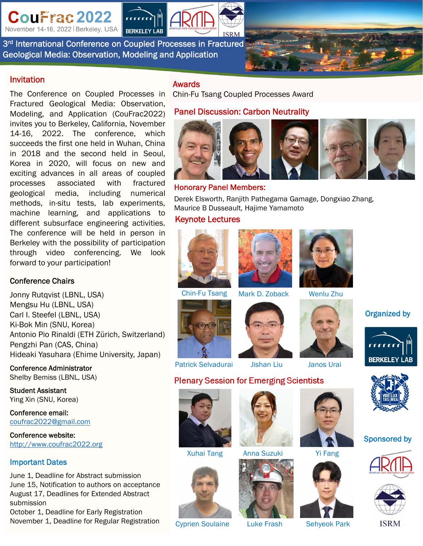CouFrac 2022

November 14-16, 2022 | Berkeley, USA

3<sup>rd</sup> International Conference on Coupled Processes in Fractured Geological Media: Observation, Modeling and Application

**BERKELEY LAB** 



#### Invitation

The Conference on Coupled Processes in Fractured Geological Media: Observation, Modeling, and Application (CouFrac2022) invites you to Berkeley, California, November 14-16, 2022. The conference, which succeeds the first one held in Wuhan, China in 2018 and the second held in Seoul, Korea in 2020, will focus on new and exciting advances in all areas of coupled processes associated with fractured geological media, including numerical methods, in-situ tests, lab experiments, machine learning, and applications to different subsurface engineering activities. The conference will be held in person in Berkeley with the possibility of participation through video conferencing. We look forward to your participation!

#### Conference Chairs

Jonny Rutqvist (LBNL, USA) Mengsu Hu (LBNL, USA) Carl I. Steefel (LBNL, USA) Ki-Bok Min (SNU, Korea) Antonio Pio Rinaldi (ETH Zürich, Switzerland) Pengzhi Pan (CAS, China) Hideaki Yasuhara (Ehime University, Japan)

Conference Administrator Shelby Bemiss (LBNL, USA)

Student Assistant Ying Xin (SNU, Korea)

Conference email: coufrac2022@gmail.com

Conference website: http://www.coufrac2022.org

#### Important Dates

June 1, Deadline for Abstract submission June 15, Notification to authors on acceptance August 17, Deadlines for Extended Abstract submission

October 1, Deadline for Early Registration November 1, Deadline for Regular Registration

### Awards

Chin-Fu Tsang Coupled Processes Award

### Panel Discussion: Carbon Neutrality



### Honorary Panel Members:

Derek Elsworth, Ranjith Pathegama Gamage, Dongxiao Zhang, Maurice B Dusseault, Hajime Yamamoto

### Keynote Lectures







Chin-Fu Tsang Mark D. Zoback Wenlu Zhu









**BERKELEY LAB** 

Organized by

## Sponsored by





**ISRM** 





Cyprien Soulaine Luke Frash Sehyeok Park













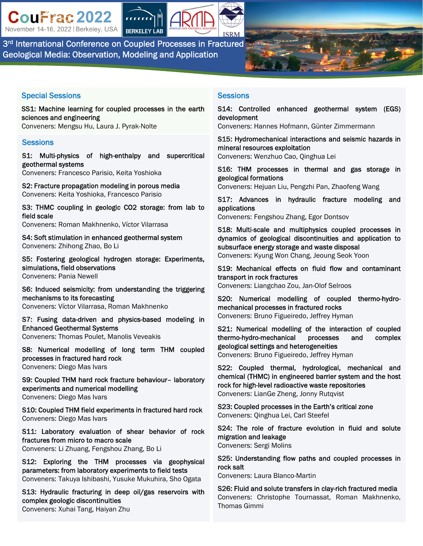CouFrac 2022 November 14-16, 2022 | Berkeley, USA



3<sup>rd</sup> International Conference on Coupled Processes in Fractured Geological Media: Observation, Modeling and Application

### Special Sessions

SS1: Machine learning for coupled processes in the earth sciences and engineering Conveners: Mengsu Hu, Laura J. Pyrak-Nolte

# **Sessions**

S1: Multi-physics of high-enthalpy and supercritical geothermal systems

Conveners: Francesco Parisio, Keita Yoshioka

S2: Fracture propagation modeling in porous media Conveners: Keita Yoshioka, Francesco Parisio

S3: THMC coupling in geologic CO2 storage: from lab to field scale

Conveners: Roman Makhnenko, Víctor Vilarrasa

S4: Soft stimulation in enhanced geothermal system Conveners: Zhihong Zhao, Bo Li

S5: Fostering geological hydrogen storage: Experiments, simulations, field observations Conveners: Pania Newell

S6: Induced seismicity: from understanding the triggering mechanisms to its forecasting Conveners: Víctor Vilarrasa, Roman Makhnenko

S7: Fusing data-driven and physics-based modeling in Enhanced Geothermal Systems Conveners: Thomas Poulet, Manolis Veveakis

S8: Numerical modelling of long term THM coupled processes in fractured hard rock Conveners: Diego Mas Ivars

S9: Coupled THM hard rock fracture behaviour– laboratory experiments and numerical modelling Conveners: Diego Mas Ivars

S10: Coupled THM field experiments in fractured hard rock Conveners: Diego Mas Ivars

S11: Laboratory evaluation of shear behavior of rock fractures from micro to macro scale Conveners: Li Zhuang, Fengshou Zhang, Bo Li

S12: Exploring the THM processes via geophysical parameters: from laboratory experiments to field tests Conveners: Takuya Ishibashi, Yusuke Mukuhira, Sho Ogata

S13: Hydraulic fracturing in deep oil/gas reservoirs with complex geologic discontinuities Conveners: Xuhai Tang, Haiyan Zhu

### **Sessions**

S14: Controlled enhanced geothermal system (EGS) development Conveners: Hannes Hofmann, Günter Zimmermann

S15: Hydromechanical interactions and seismic hazards in mineral resources exploitation

Conveners: Wenzhuo Cao, Qinghua Lei

S16: THM processes in thermal and gas storage in geological formations

Conveners: Hejuan Liu, Pengzhi Pan, Zhaofeng Wang

S17: Advances in hydraulic fracture modeling and applications Conveners: Fengshou Zhang, Egor Dontsov

S18: Multi-scale and multiphysics coupled processes in dynamics of geological discontinuities and application to subsurface energy storage and waste disposal Conveners: Kyung Won Chang, Jeoung Seok Yoon

S19: Mechanical effects on fluid flow and contaminant transport in rock fractures Conveners: Liangchao Zou, Jan-Olof Selroos

S20: Numerical modelling of coupled thermo-hydromechanical processes in fractured rocks Conveners: Bruno Figueiredo, Jeffrey Hyman

S21: Numerical modelling of the interaction of coupled thermo-hydro-mechanical processes and complex geological settings and heterogeneities Conveners: Bruno Figueiredo, Jeffrey Hyman

S22: Coupled thermal, hydrological, mechanical and chemical (THMC) in engineered barrier system and the host rock for high-level radioactive waste repositories Conveners: LianGe Zheng, Jonny Rutqvist

S23: Coupled processes in the Earth's critical zone Conveners: Qinghua Lei, Carl Steefel

S24: The role of fracture evolution in fluid and solute migration and leakage

Conveners: Sergi Molins

S25: Understanding flow paths and coupled processes in rock salt

Conveners: Laura Blanco-Martin

S26: Fluid and solute transfers in clay-rich fractured media Conveners: Christophe Tournassat, Roman Makhnenko, Thomas Gimmi